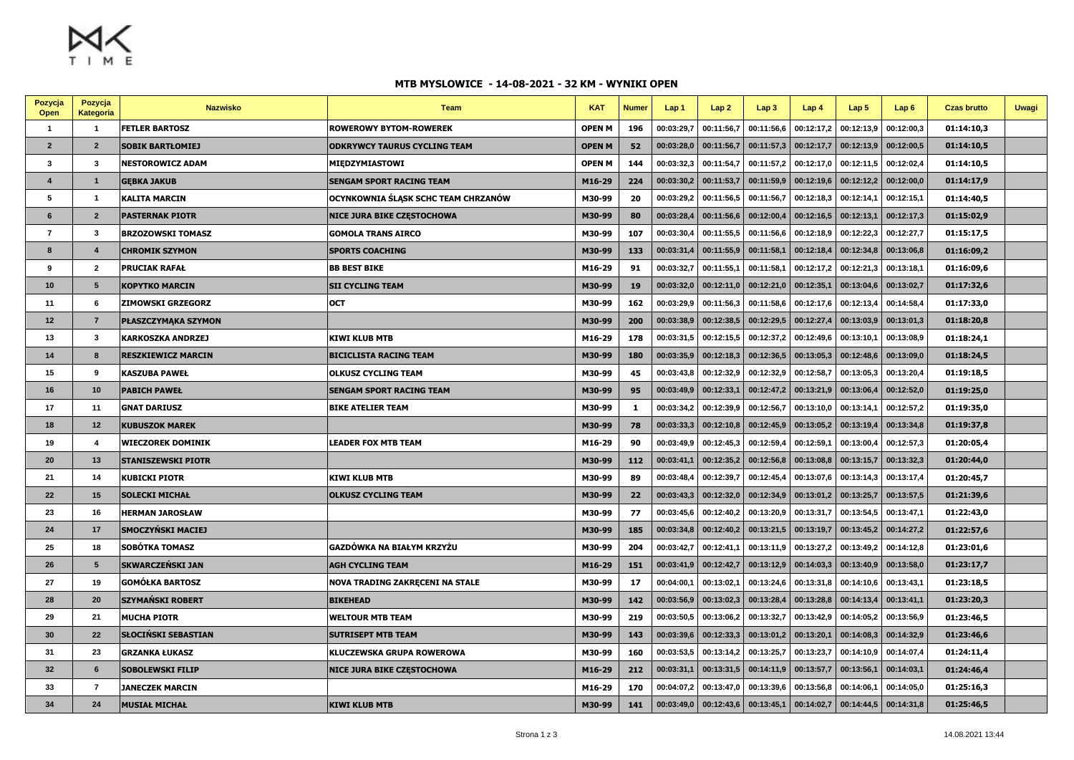$M_X$ 

## **MTB MYSLOWICE - 14-08-2021 - 32 KM - WYNIKI OPEN**

| Pozycja<br>Open         | Pozycja<br>Kategoria | <b>Nazwisko</b>            | Team                                | <b>KAT</b>    | <b>Numer</b> | Lap 1      | Lap2       | Lap3       | Lap4       | Lap <sub>5</sub> | Lap6       | <b>Czas brutto</b> | <b>Uwagi</b> |
|-------------------------|----------------------|----------------------------|-------------------------------------|---------------|--------------|------------|------------|------------|------------|------------------|------------|--------------------|--------------|
| $\overline{\mathbf{1}}$ | $\overline{1}$       | <b>FETLER BARTOSZ</b>      | <b>ROWEROWY BYTOM-ROWEREK</b>       | <b>OPEN M</b> | 196          | 00:03:29,7 | 00:11:56,7 | 00:11:56,6 | 00:12:17,2 | 00:12:13,9       | 00:12:00,3 | 01:14:10,3         |              |
| $\overline{2}$          | $\overline{2}$       | <b>SOBIK BARTŁOMIEJ</b>    | ODKRYWCY TAURUS CYCLING TEAM        | <b>OPEN M</b> | 52           | 00:03:28.0 | 00:11:56,7 | 00:11:57,3 | 00:12:17,7 | 00:12:13.9       | 00:12:00,5 | 01:14:10,5         |              |
| 3                       | $\mathbf{3}$         | NESTOROWICZ ADAM           | MIĘDZYMIASTOWI                      | <b>OPEN M</b> | 144          | 00:03:32,3 | 00:11:54,7 | 00:11:57,2 | 00:12:17,0 | 00:12:11,5       | 00:12:02,4 | 01:14:10,5         |              |
| $\boldsymbol{4}$        | $\mathbf{1}$         | <b>GEBKA JAKUB</b>         | SENGAM SPORT RACING TEAM            | M16-29        | 224          | 00:03:30.2 | 00:11:53.7 | 00:11:59,9 | 00:12:19.6 | 00:12:12.2       | 00:12:00.0 | 01:14:17,9         |              |
| 5                       | $\overline{1}$       | KALITA MARCIN              | OCYNKOWNIA ŚLĄSK SCHC TEAM CHRZANÓW | M30-99        | 20           | 00:03:29,2 | 00:11:56,5 | 00:11:56.  | 00:12:18,3 | 00:12:14,1       | 00:12:15,1 | 01:14:40,5         |              |
| 6                       | $\overline{2}$       | <b>PASTERNAK PIOTR</b>     | NICE JURA BIKE CZĘSTOCHOWA          | M30-99        | 80           | 00:03:28,4 | 00:11:56,6 | 00:12:00,4 | 00:12:16,5 | 00:12:13,1       | 00:12:17,3 | 01:15:02,9         |              |
| $\overline{7}$          | $\mathbf{3}$         | <b>BRZOZOWSKI TOMASZ</b>   | <b>GOMOLA TRANS AIRCO</b>           | M30-99        | 107          | 00:03:30,4 | 00:11:55,5 | 00:11:56,6 | 00:12:18,9 | 00:12:22,3       | 00:12:27,7 | 01:15:17,5         |              |
| 8                       | $\overline{4}$       | <b>CHROMIK SZYMON</b>      | <b>SPORTS COACHING</b>              | M30-99        | 133          | 00:03:31,4 | 00:11:55,9 | 00:11:58,1 | 00:12:18,4 | 00:12:34,8       | 00:13:06,8 | 01:16:09,2         |              |
| 9                       | $\overline{2}$       | <b>PRUCIAK RAFAŁ</b>       | <b>BB BEST BIKE</b>                 | M16-29        | 91           | 00:03:32,7 | 00:11:55,1 | 00:11:58,1 | 00:12:17,2 | 00:12:21,3       | 00:13:18,1 | 01:16:09,6         |              |
| 10                      | $5\overline{5}$      | <b>KOPYTKO MARCIN</b>      | <b>SII CYCLING TEAM</b>             | M30-99        | 19           | 00:03:32,0 | 00:12:11,0 | 00:12:21,0 | 00:12:35,1 | 00:13:04,6       | 00:13:02,7 | 01:17:32,6         |              |
| 11                      | 6                    | <b>ZIMOWSKI GRZEGORZ</b>   | OCT                                 | M30-99        | 162          | 00:03:29,9 | 00:11:56.3 | 00:11:58,6 | 00:12:17,6 | 00:12:13,4       | 00:14:58,4 | 01:17:33.0         |              |
| 12                      | $\overline{7}$       | <b>PŁASZCZYMAKA SZYMON</b> |                                     | M30-99        | 200          | 00:03:38,9 | 00:12:38,5 | 00:12:29,5 | 00:12:27,4 | 00:13:03,9       | 00:13:01,3 | 01:18:20,8         |              |
| 13                      | $\mathbf{3}$         | KARKOSZKA ANDRZEJ          | KIWI KLUB MTB                       | M16-29        | 178          | 00:03:31,5 | 00:12:15,5 | 00:12:37   | 00:12:49,6 | 00:13:10         | 00:13:08,9 | 01:18:24,1         |              |
| 14                      | $\boldsymbol{8}$     | <b>RESZKIEWICZ MARCIN</b>  | <b>BICICLISTA RACING TEAM</b>       | M30-99        | 180          | 00:03:35,9 | 00:12:18,3 | 00:12:36,5 | 00:13:05,3 | 00:12:48,6       | 00:13:09,0 | 01:18:24,5         |              |
| 15                      | 9                    | KASZUBA PAWEŁ              | <b>OLKUSZ CYCLING TEAM</b>          | M30-99        | 45           | 00:03:43,8 | 00:12:32.9 | 00:12:32,9 | 00:12:58,7 | 00:13:05,3       | 00:13:20,4 | 01:19:18,5         |              |
| 16                      | 10                   | <b>PABICH PAWEŁ</b>        | <b>SENGAM SPORT RACING TEAM</b>     | M30-99        | 95           | 00:03:49,9 | 00:12:33,1 | 00:12:47,2 | 00:13:21,9 | 00:13:06,4       | 00:12:52,0 | 01:19:25,0         |              |
| 17                      | 11                   | <b>GNAT DARIUSZ</b>        | <b>BIKE ATELIER TEAM</b>            | M30-99        | 1            | 00:03:34,2 | 00:12:39,9 | 00:12:56,7 | 00:13:10,0 | 00:13:14,1       | 00:12:57,2 | 01:19:35,0         |              |
| 18                      | 12                   | <b>KUBUSZOK MAREK</b>      |                                     | M30-99        | 78           | 00:03:33,3 | 00:12:10,8 | 00:12:45,9 | 00:13:05,2 | 00:13:19,4       | 00:13:34,8 | 01:19:37,8         |              |
| 19                      | $\overline{4}$       | <b>WIECZOREK DOMINIK</b>   | <b>LEADER FOX MTB TEAM</b>          | M16-29        | 90           | 00:03:49,9 | 00:12:45,3 | 00:12:59,4 | 00:12:59,1 | 00:13:00,4       | 00:12:57,3 | 01:20:05,4         |              |
| 20                      | 13                   | <b>STANISZEWSKI PIOTR</b>  |                                     | M30-99        | 112          | 00:03:41,1 | 00:12:35,2 | 00:12:56,8 | 00:13:08,8 | 00:13:15,7       | 00:13:32,3 | 01:20:44,0         |              |
| 21                      | 14                   | <b>KUBICKI PIOTR</b>       | KIWI KLUB MTB                       | M30-99        | 89           | 00:03:48,4 | 00:12:39,7 | 00:12:45,4 | 00:13:07,6 | 00:13:14,3       | 00:13:17,4 | 01:20:45,7         |              |
| 22                      | 15                   | <b>SOLECKI MICHAŁ</b>      | OLKUSZ CYCLING TEAM                 | M30-99        | 22           | 00:03:43,3 | 00:12:32.0 | 00:12:34,9 | 00:13:01.2 | 00:13:25.7       | 00:13:57.5 | 01:21:39.6         |              |
| 23                      | 16                   | <b>HERMAN JAROSŁAW</b>     |                                     | M30-99        | 77           | 00:03:45,6 | 00:12:40,2 | 00:13:20,9 | 00:13:31,7 | 00:13:54,5       | 00:13:47,1 | 01:22:43,0         |              |
| 24                      | 17                   | <b>SMOCZYŃSKI MACIEJ</b>   |                                     | M30-99        | 185          | 00:03:34,8 | 00:12:40,2 | 00:13:21,5 | 00:13:19,7 | 00:13:45,2       | 00:14:27,2 | 01:22:57,6         |              |
| 25                      | 18                   | SOBÓTKA TOMASZ             | GAZDÓWKA NA BIAŁYM KRZYŻU           | M30-99        | 204          | 00:03:42,7 | 00:12:41,1 | 00:13:11,9 | 00:13:27,2 | 00:13:49,2       | 00:14:12,8 | 01:23:01,6         |              |
| 26                      | $5\overline{5}$      | <b>SKWARCZEŃSKI JAN</b>    | <b>AGH CYCLING TEAM</b>             | M16-29        | 151          | 00:03:41,9 | 00:12:42,7 | 00:13:12,9 | 00:14:03,3 | 00:13:40,9       | 00:13:58,0 | 01:23:17,7         |              |
| 27                      | 19                   | <b>GOMÓŁKA BARTOSZ</b>     | NOVA TRADING ZAKRĘCENI NA STALE     | M30-99        | 17           | 00:04:00,1 | 00:13:02,1 | 00:13:24,6 | 00:13:31,8 | 00:14:10,6       | 00:13:43,1 | 01:23:18,5         |              |
| 28                      | 20                   | <b>SZYMAŃSKI ROBERT</b>    | <b>BIKEHEAD</b>                     | M30-99        | 142          | 00:03:56,9 | 00:13:02,3 | 00:13:28,4 | 00:13:28,8 | 00:14:13,4       | 00:13:41,1 | 01:23:20,3         |              |
| 29                      | 21                   | <b>MUCHA PIOTR</b>         | WELTOUR MTB TEAM                    | M30-99        | 219          | 00:03:50,5 | 00:13:06,2 | 00:13:32,7 | 00:13:42,9 | 00:14:05.2       | 00:13:56,9 | 01:23:46,5         |              |
| 30                      | 22                   | <b>SŁOCIŃSKI SEBASTIAN</b> | <b>SUTRISEPT MTB TEAM</b>           | M30-99        | 143          | 00:03:39,6 | 00:12:33,3 | 00:13:01,2 | 00:13:20,1 | 00:14:08,3       | 00:14:32,9 | 01:23:46,6         |              |
| 31                      | 23                   | <b>GRZANKA ŁUKASZ</b>      | KLUCZEWSKA GRUPA ROWEROWA           | M30-99        | 160          | 00:03:53,5 | 00:13:14,2 | 00:13:25,  | 00:13:23,7 | 00:14:10.9       | 00:14:07,4 | 01:24:11,4         |              |
| 32                      | $6\phantom{.}6$      | <b>SOBOLEWSKI FILIP</b>    | NICE JURA BIKE CZĘSTOCHOWA          | M16-29        | 212          | 00:03:31,1 | 00:13:31,5 | 00:14:11,9 | 00:13:57,7 | 00:13:56,1       | 00:14:03,1 | 01:24:46,4         |              |
| 33                      | $\overline{7}$       | <b>JANECZEK MARCIN</b>     |                                     | M16-29        | 170          | 00:04:07,2 | 00:13:47,0 | 00:13:39,6 | 00:13:56,8 | 00:14:06,1       | 00:14:05,0 | 01:25:16,3         |              |
| 34                      | 24                   | <b>MUSIAŁ MICHAŁ</b>       | KIWI KLUB MTB                       | M30-99        | 141          | 00:03:49,0 | 00:12:43,6 | 00:13:45,1 | 00:14:02,7 | 00:14:44,5       | 00:14:31,8 | 01:25:46,5         |              |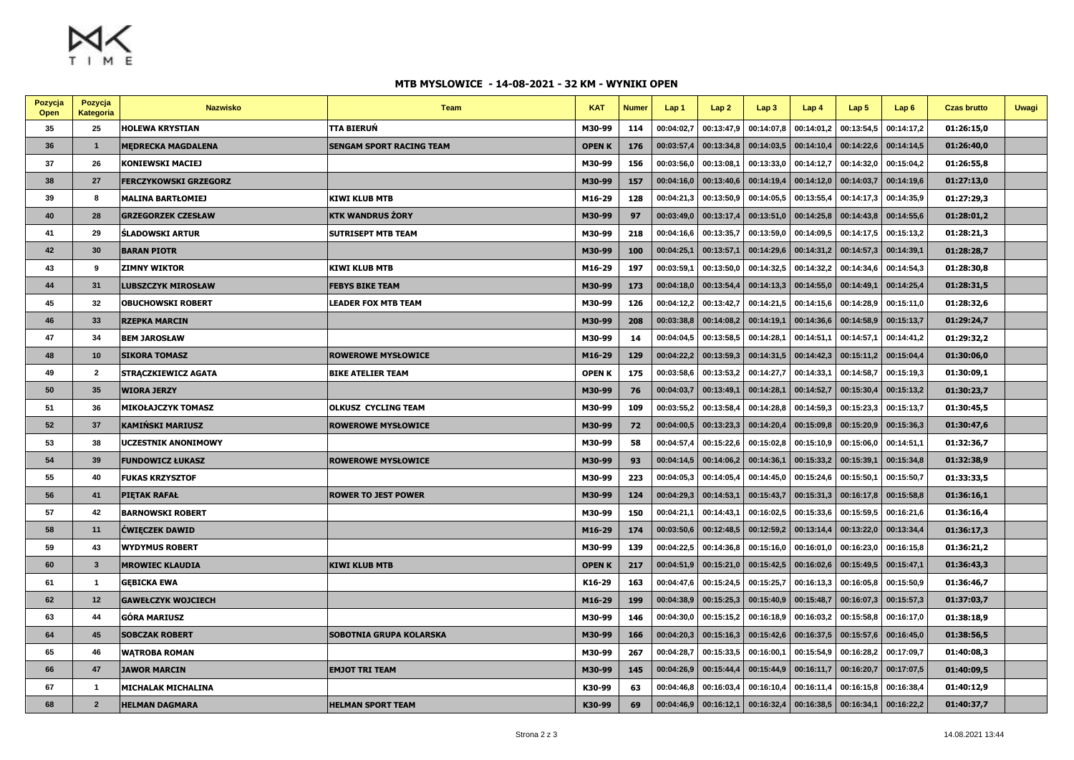$M_X$ 

## **MTB MYSLOWICE - 14-08-2021 - 32 KM - WYNIKI OPEN**

| Pozycja<br>Open | Pozycja<br>Kategoria | <b>Nazwisko</b>              | Team                       | <b>KAT</b>    | <b>Numer</b> | Lap 1      | Lap <sub>2</sub> | Lap3       | Lap4                    | Lap <sub>5</sub> | Lap6       | <b>Czas brutto</b> | <b>Uwagi</b> |
|-----------------|----------------------|------------------------------|----------------------------|---------------|--------------|------------|------------------|------------|-------------------------|------------------|------------|--------------------|--------------|
| 35              | 25                   | <b>HOLEWA KRYSTIAN</b>       | TTA BIERUŃ                 | M30-99        | 114          | 00:04:02,7 | 00:13:47,9       | 00:14:07,8 | 00:14:01.2              | 00:13:54,5       | 00:14:17,2 | 01:26:15,0         |              |
| 36              | $\overline{1}$       | <b>MEDRECKA MAGDALENA</b>    | SENGAM SPORT RACING TEAM   | <b>OPENK</b>  | 176          | 00:03:57,4 | 00:13:34,8       | 00:14:03,5 | 00:14:10,4              | 00:14:22,6       | 00:14:14,5 | 01:26:40,0         |              |
| 37              | 26                   | <b>KONIEWSKI MACIEJ</b>      |                            | M30-99        | 156          | 00:03:56,0 | 00:13:08,1       | 00:13:33,0 | 00:14:12,7              | 00:14:32,0       | 00:15:04,2 | 01:26:55,8         |              |
| 38              | 27                   | <b>FERCZYKOWSKI GRZEGORZ</b> |                            | M30-99        | 157          | 00:04:16.0 | 00:13:40.6       | 00:14:19,4 | 00:14:12.0              | 00:14:03,7       | 00:14:19,6 | 01:27:13,0         |              |
| 39              | 8                    | <b>MALINA BARTŁOMIEJ</b>     | <b>KIWI KLUB MTB</b>       | M16-29        | 128          | 00:04:21,3 | 00:13:50,9       | 00:14:05.5 | 00:13:55,4              | 00:14:17,3       | 00:14:35,9 | 01:27:29,3         |              |
| 40              | 28                   | <b>GRZEGORZEK CZESŁAW</b>    | KTK WANDRUS ŻORY           | M30-99        | 97           | 00:03:49,0 | 00:13:17,4       | 00:13:51,0 | 00:14:25,8              | 00:14:43,8       | 00:14:55,6 | 01:28:01,2         |              |
| 41              | 29                   | <b>SLADOWSKI ARTUR</b>       | <b>SUTRISEPT MTB TEAM</b>  | M30-99        | 218          | 00:04:16,6 | 00:13:35,7       | 00:13:59,0 | 00:14:09,5              | 00:14:17,5       | 00:15:13,2 | 01:28:21,3         |              |
| 42              | 30                   | <b>BARAN PIOTR</b>           |                            | M30-99        | 100          | 00:04:25,1 | 00:13:57,1       | 00:14:29,6 | 00:14:31,2              | 00:14:57,3       | 00:14:39,1 | 01:28:28,7         |              |
| 43              | 9                    | <b>ZIMNY WIKTOR</b>          | KIWI KLUB MTB              | M16-29        | 197          | 00:03:59,1 | 00:13:50,0       | 00:14:32,5 | 00:14:32,2              | 00:14:34,6       | 00:14:54,3 | 01:28:30,8         |              |
| 44              | 31                   | <b>LUBSZCZYK MIROSŁAW</b>    | FEBYS BIKE TEAM            | M30-99        | 173          | 00:04:18,0 | 00:13:54,4       | 00:14:13,3 | 00:14:55,0              | 00:14:49,1       | 00:14:25,4 | 01:28:31,5         |              |
| 45              | 32                   | <b>OBUCHOWSKI ROBERT</b>     | <b>LEADER FOX MTB TEAM</b> | M30-99        | 126          | 00:04:12,2 | 00:13:42.7       | 00:14:21,5 | 00:14:15,6              | 00:14:28.9       | 00:15:11.0 | 01:28:32,6         |              |
| 46              | 33                   | <b>RZEPKA MARCIN</b>         |                            | M30-99        | 208          | 00:03:38,8 | 00:14:08,2       | 00:14:19,1 | 00:14:36,6              | 00:14:58,9       | 00:15:13,7 | 01:29:24,7         |              |
| 47              | 34                   | <b>BEM JAROSŁAW</b>          |                            | M30-99        | 14           | 00:04:04.5 | 00:13:58,5       | 00:14:28,  | 00:14:51,1              | 00:14:57,1       | 00:14:41,2 | 01:29:32,2         |              |
| 48              | 10                   | <b>SIKORA TOMASZ</b>         | <b>ROWEROWE MYSŁOWICE</b>  | M16-29        | 129          | 00:04:22,2 | 00:13:59,3       | 00:14:31,5 | 00:14:42,3              | 00:15:11,2       | 00:15:04,4 | 01:30:06,0         |              |
| 49              | $\overline{2}$       | <b>STRACZKIEWICZ AGATA</b>   | <b>BIKE ATELIER TEAM</b>   | <b>OPEN K</b> | 175          | 00:03:58,6 | 00:13:53,2       | 00:14:27,7 | 00:14:33,1              | 00:14:58,7       | 00:15:19,3 | 01:30:09,1         |              |
| 50              | 35                   | <b>WIORA JERZY</b>           |                            | M30-99        | - 76         | 00:04:03,7 | 00:13:49,1       | 00:14:28,1 | 00:14:52,7              | 00:15:30,4       | 00:15:13,2 | 01:30:23,7         |              |
| 51              | 36                   | <b>MIKOŁAJCZYK TOMASZ</b>    | <b>OLKUSZ CYCLING TEAM</b> | M30-99        | 109          | 00:03:55,2 | 00:13:58,4       | 00:14:28,8 | 00:14:59,3              | 00:15:23,3       | 00:15:13,7 | 01:30:45,5         |              |
| 52              | 37                   | <b>KAMIŃSKI MARIUSZ</b>      | <b>ROWEROWE MYSŁOWICE</b>  | M30-99        | 72           | 00:04:00,5 | 00:13:23,3       | 00:14:20,4 | 00:15:09,8              | 00:15:20,9       | 00:15:36,3 | 01:30:47,6         |              |
| 53              | 38                   | <b>UCZESTNIK ANONIMOWY</b>   |                            | M30-99        | 58           | 00:04:57,4 | 00:15:22,6       | 00:15:02,8 | 00:15:10,9              | 00:15:06,0       | 00:14:51,1 | 01:32:36,7         |              |
| 54              | 39                   | <b>FUNDOWICZ ŁUKASZ</b>      | <b>ROWEROWE MYSŁOWICE</b>  | M30-99        | 93           | 00:04:14,5 | 00:14:06,2       | 00:14:36,1 | 00:15:33,2              | 00:15:39,1       | 00:15:34,8 | 01:32:38,9         |              |
| 55              | 40                   | <b>FUKAS KRZYSZTOF</b>       |                            | M30-99        | 223          | 00:04:05,3 | 00:14:05,4       | 00:14:45,0 | 00:15:24,6              | 00:15:50,1       | 00:15:50,7 | 01:33:33,5         |              |
| 56              | 41                   | <b>PIETAK RAFAŁ</b>          | <b>ROWER TO JEST POWER</b> | M30-99        | 124          | 00:04:29,3 | 00:14:53,1       | 00:15:43,7 | 00:15:31,3              | 00:16:17,8       | 00:15:58,8 | 01:36:16,1         |              |
| 57              | 42                   | <b>BARNOWSKI ROBERT</b>      |                            | M30-99        | 150          | 00:04:21,1 | 00:14:43,1       | 00:16:02,5 | 00:15:33,6              | 00:15:59,5       | 00:16:21,6 | 01:36:16,4         |              |
| 58              | 11                   | <b>CWIĘCZEK DAWID</b>        |                            | M16-29        | 174          | 00:03:50,6 | 00:12:48,5       | 00:12:59,2 | 00:13:14,4              | 00:13:22,0       | 00:13:34,4 | 01:36:17,3         |              |
| 59              | 43                   | <b>WYDYMUS ROBERT</b>        |                            | M30-99        | 139          | 00:04:22,5 | 00:14:36,8       | 00:15:16,0 | 00:16:01.0              | 00:16:23,0       | 00:16:15,8 | 01:36:21,2         |              |
| 60              | $\mathbf{3}$         | <b>MROWIEC KLAUDIA</b>       | <b>KIWI KLUB MTB</b>       | <b>OPENK</b>  | 217          | 00:04:51,9 | 00:15:21,0       | 00:15:42,5 | 00:16:02,6              | 00:15:49,5       | 00:15:47,1 | 01:36:43,3         |              |
| 61              | $\mathbf{1}$         | <b>GEBICKA EWA</b>           |                            | K16-29        | 163          | 00:04:47,6 | 00:15:24,5       | 00:15:25,7 | 00:16:13,3              | 00:16:05,8       | 00:15:50,9 | 01:36:46,7         |              |
| 62              | 12                   | <b>GAWEŁCZYK WOJCIECH</b>    |                            | M16-29        | 199          | 00:04:38,9 | 00:15:25,3       | 00:15:40,9 | 00:15:48,7              | 00:16:07,3       | 00:15:57,3 | 01:37:03,7         |              |
| 63              | 44                   | <b>GÓRA MARIUSZ</b>          |                            | M30-99        | 146          | 00:04:30,0 | 00:15:15.2       | 00:16:18,9 | 00:16:03,2              | 00:15:58,8       | 00:16:17,0 | 01:38:18,9         |              |
| 64              | 45                   | <b>SOBCZAK ROBERT</b>        | SOBOTNIA GRUPA KOLARSKA    | M30-99        | 166          | 00:04:20,3 | 00:15:16,3       | 00:15:42,6 | 00:16:37,5              | 00:15:57,6       | 00:16:45,0 | 01:38:56,5         |              |
| 65              | 46                   | <b>WATROBA ROMAN</b>         |                            | M30-99        | 267          | 00:04:28.7 | 00:15:33.5       | 00:16:00.7 | 00:15:54,9              | 00:16:28.2       | 00:17:09,7 | 01:40:08.3         |              |
| 66              | 47                   | <b>JAWOR MARCIN</b>          | <b>EMJOT TRI TEAM</b>      | M30-99        | 145          | 00:04:26,9 | 00:15:44,4       | 00:15:44,9 | 00:16:11,7              | 00:16:20,7       | 00:17:07,5 | 01:40:09,5         |              |
| 67              | $\mathbf{1}$         | <b>MICHALAK MICHALINA</b>    |                            | K30-99        | 63           | 00:04:46,8 | 00:16:03,4       | 00:16:10,4 | 00:16:11,4              | 00:16:15,8       | 00:16:38,4 | 01:40:12,9         |              |
| 68              | $\overline{2}$       | <b>HELMAN DAGMARA</b>        | <b>HELMAN SPORT TEAM</b>   | K30-99        | 69           | 00:04:46,9 | 00:16:12,1       |            | $00:16:32,4$ 00:16:38,5 | 00:16:34,1       | 00:16:22,2 | 01:40:37,7         |              |